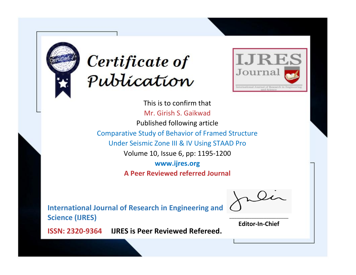



This is to confirm that Mr. Girish S. Gaikwad Published following article Comparative Study of Behavior of Framed Structure Under Seismic Zone III & IV Using STAAD Pro Volume 10, Issue 6, pp: 1195-1200 **www.ijres.org A Peer Reviewed referred Journal**

**International Journal of Research in Engineering and Science (IJRES)**

\_\_\_\_\_\_\_\_\_\_\_\_\_\_\_\_\_\_\_\_\_\_\_\_ **Editor-In-Chief**

**Journal.**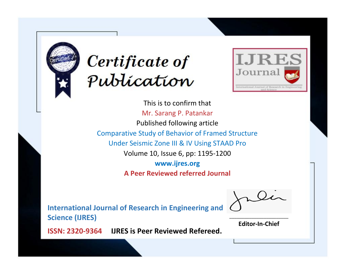



This is to confirm that Mr. Sarang P. Patankar Published following article Comparative Study of Behavior of Framed Structure Under Seismic Zone III & IV Using STAAD Pro Volume 10, Issue 6, pp: 1195-1200 **www.ijres.org A Peer Reviewed referred Journal**

**International Journal of Research in Engineering and Science (IJRES)**

\_\_\_\_\_\_\_\_\_\_\_\_\_\_\_\_\_\_\_\_\_\_\_\_ **Editor-In-Chief**

**Journal.**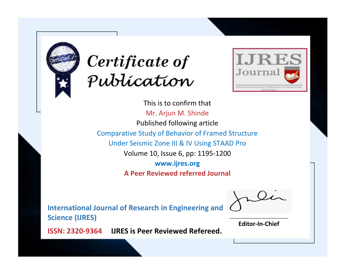



This is to confirm that Mr. Arjun M. Shinde Published following article Comparative Study of Behavior of Framed Structure Under Seismic Zone III & IV Using STAAD Pro Volume 10, Issue 6, pp: 1195-1200 **www.ijres.org A Peer Reviewed referred Journal**

**International Journal of Research in Engineering and Science (IJRES)**

\_\_\_\_\_\_\_\_\_\_\_\_\_\_\_\_\_\_\_\_\_\_\_\_ **Editor-In-Chief**

**Journal.**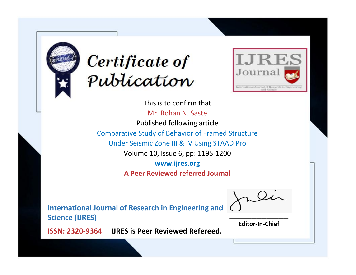



This is to confirm that Mr. Rohan N. Saste Published following article Comparative Study of Behavior of Framed Structure Under Seismic Zone III & IV Using STAAD Pro Volume 10, Issue 6, pp: 1195-1200 **www.ijres.org A Peer Reviewed referred Journal**

**International Journal of Research in Engineering and Science (IJRES)**

\_\_\_\_\_\_\_\_\_\_\_\_\_\_\_\_\_\_\_\_\_\_\_\_ **Editor-In-Chief**

**Journal.**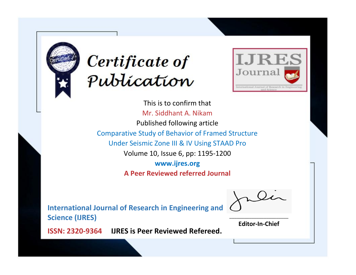



This is to confirm that Mr. Siddhant A. Nikam Published following article Comparative Study of Behavior of Framed Structure Under Seismic Zone III & IV Using STAAD Pro Volume 10, Issue 6, pp: 1195-1200 **www.ijres.org A Peer Reviewed referred Journal**

**International Journal of Research in Engineering and Science (IJRES)**

\_\_\_\_\_\_\_\_\_\_\_\_\_\_\_\_\_\_\_\_\_\_\_\_ **Editor-In-Chief**

**Journal.**